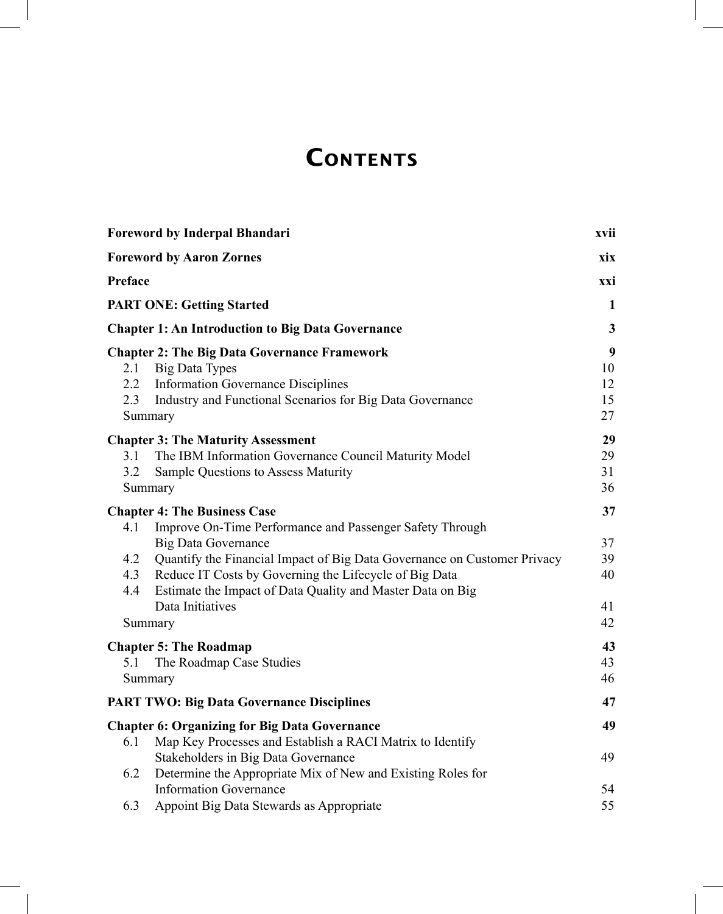## **CONTENTS**

|                             | <b>Foreword by Inderpal Bhandari</b>                                                                                                                                                                                           | xvii                                     |
|-----------------------------|--------------------------------------------------------------------------------------------------------------------------------------------------------------------------------------------------------------------------------|------------------------------------------|
|                             | <b>Foreword by Aaron Zornes</b>                                                                                                                                                                                                | xix                                      |
| Preface                     |                                                                                                                                                                                                                                | xxi                                      |
|                             | <b>PART ONE: Getting Started</b>                                                                                                                                                                                               | 1                                        |
|                             | <b>Chapter 1: An Introduction to Big Data Governance</b>                                                                                                                                                                       | $\mathbf{3}$                             |
| 2.1<br>$2.2^{\circ}$<br>2.3 | <b>Chapter 2: The Big Data Governance Framework</b><br>Big Data Types<br><b>Information Governance Disciplines</b><br>Industry and Functional Scenarios for Big Data Governance<br>Summary                                     | $\boldsymbol{9}$<br>10<br>12<br>15<br>27 |
| 3.1<br>3.2                  | <b>Chapter 3: The Maturity Assessment</b><br>The IBM Information Governance Council Maturity Model<br>Sample Questions to Assess Maturity<br>Summary                                                                           | 29<br>29<br>31<br>36                     |
| 4.1                         | <b>Chapter 4: The Business Case</b><br>Improve On-Time Performance and Passenger Safety Through                                                                                                                                | 37                                       |
| 4.2<br>4.3<br>4.4           | <b>Big Data Governance</b><br>Quantify the Financial Impact of Big Data Governance on Customer Privacy<br>Reduce IT Costs by Governing the Lifecycle of Big Data<br>Estimate the Impact of Data Quality and Master Data on Big | 37<br>39<br>40                           |
|                             | Data Initiatives<br>Summary                                                                                                                                                                                                    | 41<br>42                                 |
| 5.1                         | <b>Chapter 5: The Roadmap</b><br>The Roadmap Case Studies<br>Summary                                                                                                                                                           | 43<br>43<br>46                           |
|                             | <b>PART TWO: Big Data Governance Disciplines</b>                                                                                                                                                                               | 47                                       |
| 6.1                         | <b>Chapter 6: Organizing for Big Data Governance</b><br>Map Key Processes and Establish a RACI Matrix to Identify                                                                                                              | 49                                       |
| 6.2                         | Stakeholders in Big Data Governance<br>Determine the Appropriate Mix of New and Existing Roles for                                                                                                                             | 49                                       |
| 6.3                         | <b>Information Governance</b><br>Appoint Big Data Stewards as Appropriate                                                                                                                                                      | 54<br>55                                 |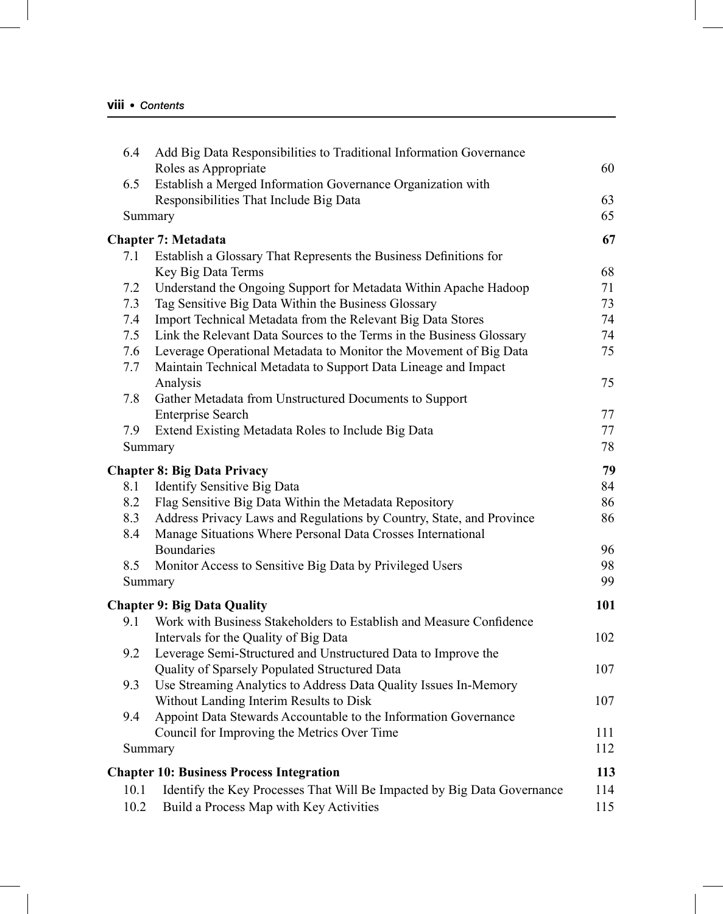| 6.4     | Add Big Data Responsibilities to Traditional Information Governance     |     |
|---------|-------------------------------------------------------------------------|-----|
|         | Roles as Appropriate                                                    | 60  |
| 6.5     | Establish a Merged Information Governance Organization with             |     |
|         | Responsibilities That Include Big Data                                  | 63  |
| Summary |                                                                         | 65  |
|         | <b>Chapter 7: Metadata</b>                                              | 67  |
| 7.1     | Establish a Glossary That Represents the Business Definitions for       |     |
|         | Key Big Data Terms                                                      | 68  |
| 7.2     | Understand the Ongoing Support for Metadata Within Apache Hadoop        | 71  |
| 7.3     | Tag Sensitive Big Data Within the Business Glossary                     | 73  |
| 7.4     | Import Technical Metadata from the Relevant Big Data Stores             | 74  |
| 7.5     | Link the Relevant Data Sources to the Terms in the Business Glossary    | 74  |
| 7.6     | Leverage Operational Metadata to Monitor the Movement of Big Data       | 75  |
| 7.7     | Maintain Technical Metadata to Support Data Lineage and Impact          |     |
|         | Analysis                                                                | 75  |
| 7.8     | Gather Metadata from Unstructured Documents to Support                  |     |
|         | <b>Enterprise Search</b>                                                | 77  |
| 7.9     | Extend Existing Metadata Roles to Include Big Data                      | 77  |
| Summary |                                                                         | 78  |
|         | <b>Chapter 8: Big Data Privacy</b>                                      | 79  |
| 8.1     | Identify Sensitive Big Data                                             | 84  |
| 8.2     | Flag Sensitive Big Data Within the Metadata Repository                  | 86  |
| 8.3     | Address Privacy Laws and Regulations by Country, State, and Province    | 86  |
| 8.4     | Manage Situations Where Personal Data Crosses International             |     |
|         | <b>Boundaries</b>                                                       | 96  |
| 8.5     | Monitor Access to Sensitive Big Data by Privileged Users                | 98  |
| Summary |                                                                         | 99  |
|         | <b>Chapter 9: Big Data Quality</b>                                      | 101 |
| 9.1     | Work with Business Stakeholders to Establish and Measure Confidence     |     |
|         | Intervals for the Quality of Big Data                                   | 102 |
| 9.2     | Leverage Semi-Structured and Unstructured Data to Improve the           |     |
|         | Quality of Sparsely Populated Structured Data                           | 107 |
| 9.3     | Use Streaming Analytics to Address Data Quality Issues In-Memory        |     |
|         | Without Landing Interim Results to Disk                                 | 107 |
| 9.4     | Appoint Data Stewards Accountable to the Information Governance         |     |
|         | Council for Improving the Metrics Over Time                             | 111 |
| Summary |                                                                         | 112 |
|         |                                                                         |     |
|         | <b>Chapter 10: Business Process Integration</b>                         | 113 |
| 10.1    | Identify the Key Processes That Will Be Impacted by Big Data Governance | 114 |
| 10.2    | Build a Process Map with Key Activities                                 | 115 |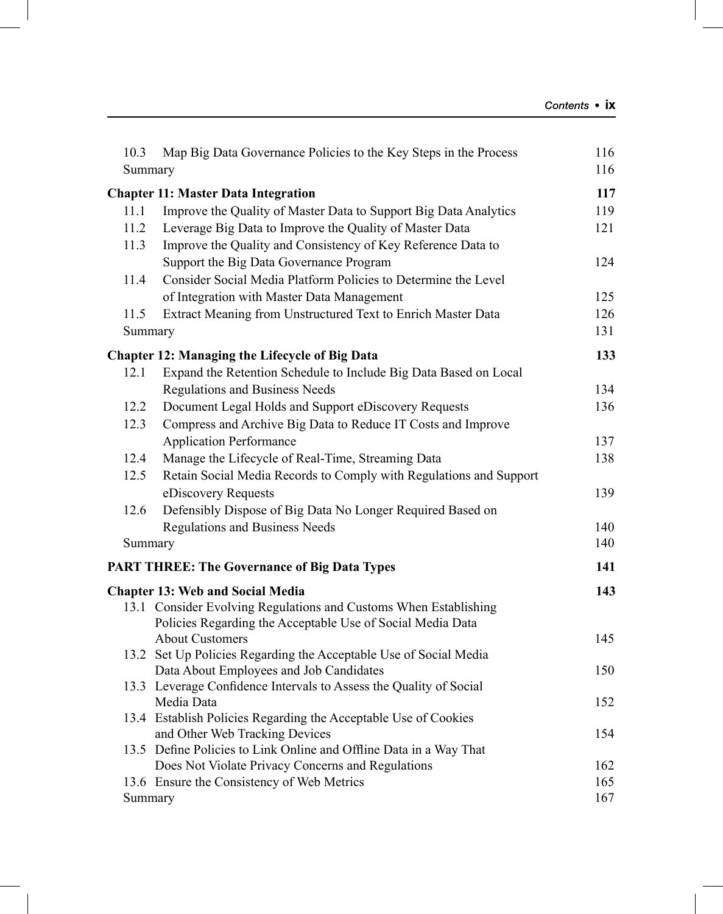| 10.3 | Map Big Data Governance Policies to the Key Steps in the Process<br>Summary      | 116<br>116 |
|------|----------------------------------------------------------------------------------|------------|
|      | <b>Chapter 11: Master Data Integration</b>                                       | 117        |
| 11.1 | Improve the Quality of Master Data to Support Big Data Analytics                 | 119        |
| 11.2 | Leverage Big Data to Improve the Quality of Master Data                          | 121        |
| 11.3 | Improve the Quality and Consistency of Key Reference Data to                     |            |
|      | Support the Big Data Governance Program                                          | 124        |
| 11.4 | Consider Social Media Platform Policies to Determine the Level                   |            |
|      | of Integration with Master Data Management                                       | 125        |
| 11.5 | Extract Meaning from Unstructured Text to Enrich Master Data                     | 126        |
|      | Summary                                                                          | 131        |
|      | <b>Chapter 12: Managing the Lifecycle of Big Data</b>                            | 133        |
| 12.1 | Expand the Retention Schedule to Include Big Data Based on Local                 |            |
|      | Regulations and Business Needs                                                   | 134        |
| 12.2 | Document Legal Holds and Support eDiscovery Requests                             | 136        |
| 12.3 | Compress and Archive Big Data to Reduce IT Costs and Improve                     |            |
|      | <b>Application Performance</b>                                                   | 137        |
| 12.4 | Manage the Lifecycle of Real-Time, Streaming Data                                | 138        |
| 12.5 | Retain Social Media Records to Comply with Regulations and Support               |            |
|      | eDiscovery Requests                                                              | 139        |
| 12.6 | Defensibly Dispose of Big Data No Longer Required Based on                       |            |
|      | <b>Regulations and Business Needs</b>                                            | 140        |
|      | Summary                                                                          | 140        |
|      | <b>PART THREE: The Governance of Big Data Types</b>                              | 141        |
|      | <b>Chapter 13: Web and Social Media</b>                                          | 143        |
|      | 13.1 Consider Evolving Regulations and Customs When Establishing                 |            |
|      | Policies Regarding the Acceptable Use of Social Media Data                       |            |
|      | <b>About Customers</b>                                                           | 145        |
|      | 13.2 Set Up Policies Regarding the Acceptable Use of Social Media                |            |
|      | Data About Employees and Job Candidates                                          | 150        |
|      | 13.3 Leverage Confidence Intervals to Assess the Quality of Social<br>Media Data | 152        |
|      | 13.4 Establish Policies Regarding the Acceptable Use of Cookies                  |            |
|      | and Other Web Tracking Devices                                                   | 154        |
|      | 13.5 Define Policies to Link Online and Offline Data in a Way That               |            |
|      | Does Not Violate Privacy Concerns and Regulations                                | 162        |
|      | 13.6 Ensure the Consistency of Web Metrics                                       | 165        |
|      | Summary                                                                          | 167        |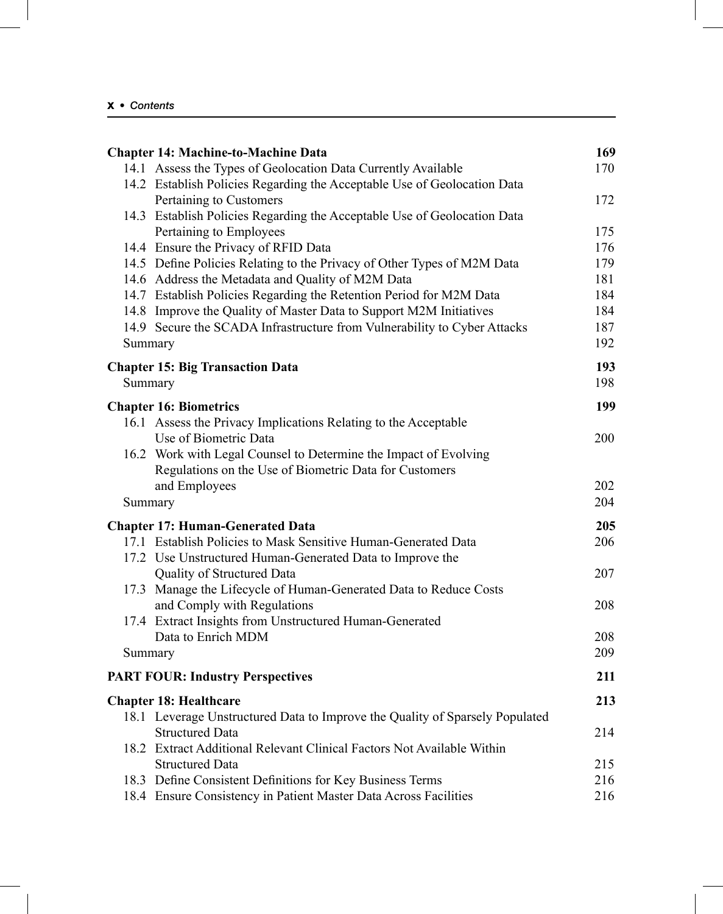|         | <b>Chapter 14: Machine-to-Machine Data</b>                                   | 169 |
|---------|------------------------------------------------------------------------------|-----|
|         | 14.1 Assess the Types of Geolocation Data Currently Available                | 170 |
|         | 14.2 Establish Policies Regarding the Acceptable Use of Geolocation Data     |     |
|         | Pertaining to Customers                                                      | 172 |
|         | 14.3 Establish Policies Regarding the Acceptable Use of Geolocation Data     |     |
|         | Pertaining to Employees                                                      | 175 |
|         | 14.4 Ensure the Privacy of RFID Data                                         | 176 |
|         | 14.5 Define Policies Relating to the Privacy of Other Types of M2M Data      | 179 |
|         | 14.6 Address the Metadata and Quality of M2M Data                            | 181 |
|         | 14.7 Establish Policies Regarding the Retention Period for M2M Data          | 184 |
|         | 14.8 Improve the Quality of Master Data to Support M2M Initiatives           | 184 |
|         | 14.9 Secure the SCADA Infrastructure from Vulnerability to Cyber Attacks     | 187 |
|         | Summary                                                                      | 192 |
|         | <b>Chapter 15: Big Transaction Data</b>                                      | 193 |
|         | Summary                                                                      | 198 |
|         | <b>Chapter 16: Biometrics</b>                                                | 199 |
|         | 16.1 Assess the Privacy Implications Relating to the Acceptable              |     |
|         | Use of Biometric Data                                                        | 200 |
|         | 16.2 Work with Legal Counsel to Determine the Impact of Evolving             |     |
|         | Regulations on the Use of Biometric Data for Customers                       |     |
|         | and Employees                                                                | 202 |
|         | Summary                                                                      | 204 |
|         |                                                                              |     |
|         | <b>Chapter 17: Human-Generated Data</b>                                      | 205 |
|         | 17.1 Establish Policies to Mask Sensitive Human-Generated Data               | 206 |
|         | 17.2 Use Unstructured Human-Generated Data to Improve the                    |     |
|         | Quality of Structured Data                                                   | 207 |
|         | 17.3 Manage the Lifecycle of Human-Generated Data to Reduce Costs            |     |
|         | and Comply with Regulations                                                  | 208 |
|         | 17.4 Extract Insights from Unstructured Human-Generated                      |     |
|         | Data to Enrich MDM                                                           | 208 |
| Summary |                                                                              | 209 |
|         | <b>PART FOUR: Industry Perspectives</b>                                      | 211 |
|         | <b>Chapter 18: Healthcare</b>                                                | 213 |
|         | 18.1 Leverage Unstructured Data to Improve the Quality of Sparsely Populated |     |
|         | <b>Structured Data</b>                                                       | 214 |
|         | 18.2 Extract Additional Relevant Clinical Factors Not Available Within       |     |
|         | <b>Structured Data</b>                                                       | 215 |
|         | 18.3 Define Consistent Definitions for Key Business Terms                    | 216 |
|         | 18.4 Ensure Consistency in Patient Master Data Across Facilities             | 216 |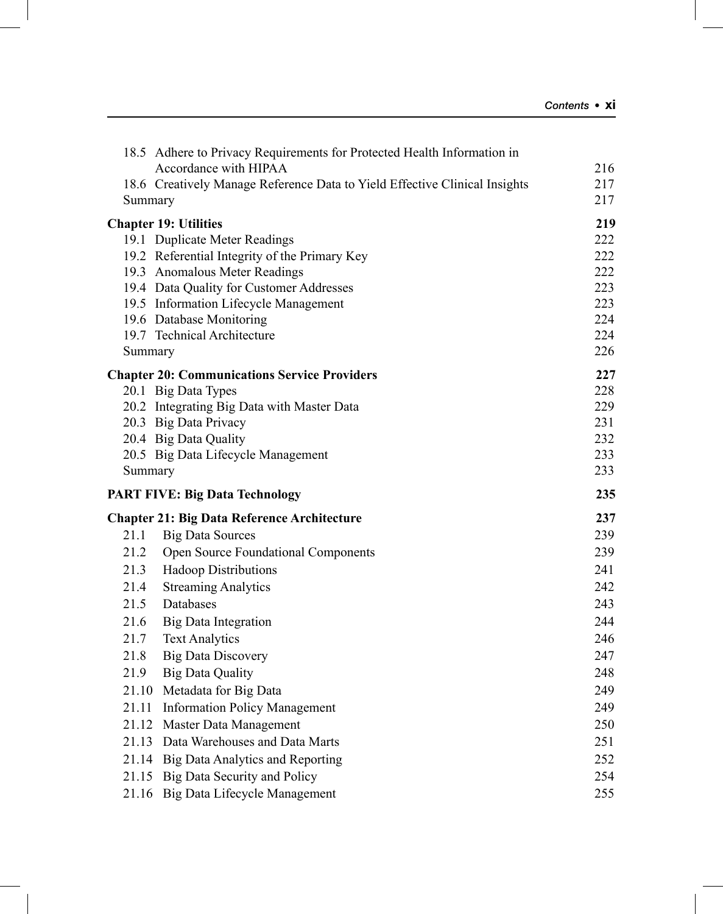| 217<br>18.6 Creatively Manage Reference Data to Yield Effective Clinical Insights<br>217<br>Summary<br>219<br><b>Chapter 19: Utilities</b><br>19.1 Duplicate Meter Readings<br>222<br>19.2 Referential Integrity of the Primary Key<br>222<br>222<br>19.3 Anomalous Meter Readings<br>223<br>19.4 Data Quality for Customer Addresses<br>223<br>19.5 Information Lifecycle Management<br>224<br>19.6 Database Monitoring<br>224<br>19.7 Technical Architecture<br>226<br>Summary<br>227<br><b>Chapter 20: Communications Service Providers</b><br>228<br>20.1 Big Data Types<br>20.2 Integrating Big Data with Master Data<br>229<br>20.3 Big Data Privacy<br>231<br>232<br>20.4 Big Data Quality<br>233<br>20.5 Big Data Lifecycle Management<br>233<br>Summary<br>235<br><b>PART FIVE: Big Data Technology</b><br>237<br><b>Chapter 21: Big Data Reference Architecture</b><br>239<br>21.1<br><b>Big Data Sources</b><br>21.2<br>Open Source Foundational Components<br>239<br><b>Hadoop Distributions</b><br>241<br>21.3<br>21.4<br><b>Streaming Analytics</b><br>242<br>21.5<br>Databases<br>243<br>244<br>21.6<br><b>Big Data Integration</b><br>246<br>21.7<br><b>Text Analytics</b><br><b>Big Data Discovery</b><br>247<br>21.8<br><b>Big Data Quality</b><br>248<br>21.9<br>21.10 Metadata for Big Data<br>249 |       | 18.5 Adhere to Privacy Requirements for Protected Health Information in<br>Accordance with HIPAA | 216 |
|------------------------------------------------------------------------------------------------------------------------------------------------------------------------------------------------------------------------------------------------------------------------------------------------------------------------------------------------------------------------------------------------------------------------------------------------------------------------------------------------------------------------------------------------------------------------------------------------------------------------------------------------------------------------------------------------------------------------------------------------------------------------------------------------------------------------------------------------------------------------------------------------------------------------------------------------------------------------------------------------------------------------------------------------------------------------------------------------------------------------------------------------------------------------------------------------------------------------------------------------------------------------------------------------------------------------|-------|--------------------------------------------------------------------------------------------------|-----|
|                                                                                                                                                                                                                                                                                                                                                                                                                                                                                                                                                                                                                                                                                                                                                                                                                                                                                                                                                                                                                                                                                                                                                                                                                                                                                                                        |       |                                                                                                  |     |
|                                                                                                                                                                                                                                                                                                                                                                                                                                                                                                                                                                                                                                                                                                                                                                                                                                                                                                                                                                                                                                                                                                                                                                                                                                                                                                                        |       |                                                                                                  |     |
|                                                                                                                                                                                                                                                                                                                                                                                                                                                                                                                                                                                                                                                                                                                                                                                                                                                                                                                                                                                                                                                                                                                                                                                                                                                                                                                        |       |                                                                                                  |     |
|                                                                                                                                                                                                                                                                                                                                                                                                                                                                                                                                                                                                                                                                                                                                                                                                                                                                                                                                                                                                                                                                                                                                                                                                                                                                                                                        |       |                                                                                                  |     |
|                                                                                                                                                                                                                                                                                                                                                                                                                                                                                                                                                                                                                                                                                                                                                                                                                                                                                                                                                                                                                                                                                                                                                                                                                                                                                                                        |       |                                                                                                  |     |
|                                                                                                                                                                                                                                                                                                                                                                                                                                                                                                                                                                                                                                                                                                                                                                                                                                                                                                                                                                                                                                                                                                                                                                                                                                                                                                                        |       |                                                                                                  |     |
|                                                                                                                                                                                                                                                                                                                                                                                                                                                                                                                                                                                                                                                                                                                                                                                                                                                                                                                                                                                                                                                                                                                                                                                                                                                                                                                        |       |                                                                                                  |     |
|                                                                                                                                                                                                                                                                                                                                                                                                                                                                                                                                                                                                                                                                                                                                                                                                                                                                                                                                                                                                                                                                                                                                                                                                                                                                                                                        |       |                                                                                                  |     |
|                                                                                                                                                                                                                                                                                                                                                                                                                                                                                                                                                                                                                                                                                                                                                                                                                                                                                                                                                                                                                                                                                                                                                                                                                                                                                                                        |       |                                                                                                  |     |
|                                                                                                                                                                                                                                                                                                                                                                                                                                                                                                                                                                                                                                                                                                                                                                                                                                                                                                                                                                                                                                                                                                                                                                                                                                                                                                                        |       |                                                                                                  |     |
|                                                                                                                                                                                                                                                                                                                                                                                                                                                                                                                                                                                                                                                                                                                                                                                                                                                                                                                                                                                                                                                                                                                                                                                                                                                                                                                        |       |                                                                                                  |     |
|                                                                                                                                                                                                                                                                                                                                                                                                                                                                                                                                                                                                                                                                                                                                                                                                                                                                                                                                                                                                                                                                                                                                                                                                                                                                                                                        |       |                                                                                                  |     |
|                                                                                                                                                                                                                                                                                                                                                                                                                                                                                                                                                                                                                                                                                                                                                                                                                                                                                                                                                                                                                                                                                                                                                                                                                                                                                                                        |       |                                                                                                  |     |
|                                                                                                                                                                                                                                                                                                                                                                                                                                                                                                                                                                                                                                                                                                                                                                                                                                                                                                                                                                                                                                                                                                                                                                                                                                                                                                                        |       |                                                                                                  |     |
|                                                                                                                                                                                                                                                                                                                                                                                                                                                                                                                                                                                                                                                                                                                                                                                                                                                                                                                                                                                                                                                                                                                                                                                                                                                                                                                        |       |                                                                                                  |     |
|                                                                                                                                                                                                                                                                                                                                                                                                                                                                                                                                                                                                                                                                                                                                                                                                                                                                                                                                                                                                                                                                                                                                                                                                                                                                                                                        |       |                                                                                                  |     |
|                                                                                                                                                                                                                                                                                                                                                                                                                                                                                                                                                                                                                                                                                                                                                                                                                                                                                                                                                                                                                                                                                                                                                                                                                                                                                                                        |       |                                                                                                  |     |
|                                                                                                                                                                                                                                                                                                                                                                                                                                                                                                                                                                                                                                                                                                                                                                                                                                                                                                                                                                                                                                                                                                                                                                                                                                                                                                                        |       |                                                                                                  |     |
|                                                                                                                                                                                                                                                                                                                                                                                                                                                                                                                                                                                                                                                                                                                                                                                                                                                                                                                                                                                                                                                                                                                                                                                                                                                                                                                        |       |                                                                                                  |     |
|                                                                                                                                                                                                                                                                                                                                                                                                                                                                                                                                                                                                                                                                                                                                                                                                                                                                                                                                                                                                                                                                                                                                                                                                                                                                                                                        |       |                                                                                                  |     |
|                                                                                                                                                                                                                                                                                                                                                                                                                                                                                                                                                                                                                                                                                                                                                                                                                                                                                                                                                                                                                                                                                                                                                                                                                                                                                                                        |       |                                                                                                  |     |
|                                                                                                                                                                                                                                                                                                                                                                                                                                                                                                                                                                                                                                                                                                                                                                                                                                                                                                                                                                                                                                                                                                                                                                                                                                                                                                                        |       |                                                                                                  |     |
|                                                                                                                                                                                                                                                                                                                                                                                                                                                                                                                                                                                                                                                                                                                                                                                                                                                                                                                                                                                                                                                                                                                                                                                                                                                                                                                        |       |                                                                                                  |     |
|                                                                                                                                                                                                                                                                                                                                                                                                                                                                                                                                                                                                                                                                                                                                                                                                                                                                                                                                                                                                                                                                                                                                                                                                                                                                                                                        |       |                                                                                                  |     |
|                                                                                                                                                                                                                                                                                                                                                                                                                                                                                                                                                                                                                                                                                                                                                                                                                                                                                                                                                                                                                                                                                                                                                                                                                                                                                                                        |       |                                                                                                  |     |
|                                                                                                                                                                                                                                                                                                                                                                                                                                                                                                                                                                                                                                                                                                                                                                                                                                                                                                                                                                                                                                                                                                                                                                                                                                                                                                                        |       |                                                                                                  |     |
|                                                                                                                                                                                                                                                                                                                                                                                                                                                                                                                                                                                                                                                                                                                                                                                                                                                                                                                                                                                                                                                                                                                                                                                                                                                                                                                        |       |                                                                                                  |     |
|                                                                                                                                                                                                                                                                                                                                                                                                                                                                                                                                                                                                                                                                                                                                                                                                                                                                                                                                                                                                                                                                                                                                                                                                                                                                                                                        |       |                                                                                                  |     |
|                                                                                                                                                                                                                                                                                                                                                                                                                                                                                                                                                                                                                                                                                                                                                                                                                                                                                                                                                                                                                                                                                                                                                                                                                                                                                                                        |       |                                                                                                  |     |
|                                                                                                                                                                                                                                                                                                                                                                                                                                                                                                                                                                                                                                                                                                                                                                                                                                                                                                                                                                                                                                                                                                                                                                                                                                                                                                                        |       |                                                                                                  |     |
|                                                                                                                                                                                                                                                                                                                                                                                                                                                                                                                                                                                                                                                                                                                                                                                                                                                                                                                                                                                                                                                                                                                                                                                                                                                                                                                        |       |                                                                                                  |     |
|                                                                                                                                                                                                                                                                                                                                                                                                                                                                                                                                                                                                                                                                                                                                                                                                                                                                                                                                                                                                                                                                                                                                                                                                                                                                                                                        | 21.11 | <b>Information Policy Management</b>                                                             | 249 |
| 21.12 Master Data Management<br>250                                                                                                                                                                                                                                                                                                                                                                                                                                                                                                                                                                                                                                                                                                                                                                                                                                                                                                                                                                                                                                                                                                                                                                                                                                                                                    |       |                                                                                                  |     |
| 21.13 Data Warehouses and Data Marts<br>251                                                                                                                                                                                                                                                                                                                                                                                                                                                                                                                                                                                                                                                                                                                                                                                                                                                                                                                                                                                                                                                                                                                                                                                                                                                                            |       |                                                                                                  |     |
| 252<br>21.14 Big Data Analytics and Reporting                                                                                                                                                                                                                                                                                                                                                                                                                                                                                                                                                                                                                                                                                                                                                                                                                                                                                                                                                                                                                                                                                                                                                                                                                                                                          |       |                                                                                                  |     |
| 21.15 Big Data Security and Policy<br>254                                                                                                                                                                                                                                                                                                                                                                                                                                                                                                                                                                                                                                                                                                                                                                                                                                                                                                                                                                                                                                                                                                                                                                                                                                                                              |       |                                                                                                  |     |
|                                                                                                                                                                                                                                                                                                                                                                                                                                                                                                                                                                                                                                                                                                                                                                                                                                                                                                                                                                                                                                                                                                                                                                                                                                                                                                                        |       | 21.16 Big Data Lifecycle Management                                                              | 255 |
|                                                                                                                                                                                                                                                                                                                                                                                                                                                                                                                                                                                                                                                                                                                                                                                                                                                                                                                                                                                                                                                                                                                                                                                                                                                                                                                        |       |                                                                                                  |     |